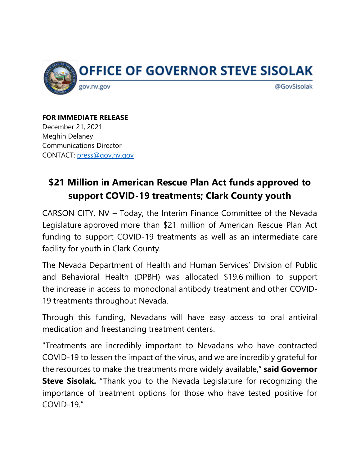

**FOR IMMEDIATE RELEASE** December 21, 2021 Meghin Delaney Communications Director CONTACT: press@gov.nv.gov

## **\$21 Million in American Rescue Plan Act funds approved to support COVID-19 treatments; Clark County youth**

CARSON CITY, NV – Today, the Interim Finance Committee of the Nevada Legislature approved more than \$21 million of American Rescue Plan Act funding to support COVID-19 treatments as well as an intermediate care facility for youth in Clark County.

The Nevada Department of Health and Human Services' Division of Public and Behavioral Health (DPBH) was allocated \$19.6 million to support the increase in access to monoclonal antibody treatment and other COVID-19 treatments throughout Nevada.

Through this funding, Nevadans will have easy access to oral antiviral medication and freestanding treatment centers.

"Treatments are incredibly important to Nevadans who have contracted COVID-19 to lessen the impact of the virus, and we are incredibly grateful for the resources to make the treatments more widely available," **said Governor Steve Sisolak.** "Thank you to the Nevada Legislature for recognizing the importance of treatment options for those who have tested positive for COVID-19."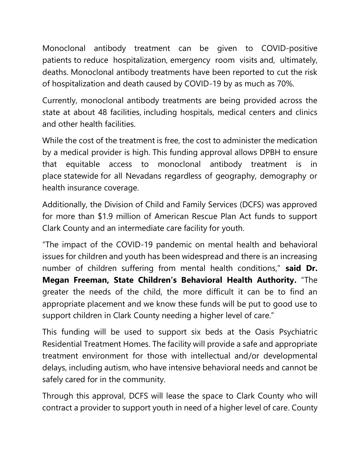Monoclonal antibody treatment can be given to COVID-positive patients to reduce hospitalization, emergency room visits and, ultimately, deaths. Monoclonal antibody treatments have been reported to cut the risk of hospitalization and death caused by COVID-19 by as much as 70%.

Currently, monoclonal antibody treatments are being provided across the state at about 48 facilities, including hospitals, medical centers and clinics and other health facilities.

While the cost of the treatment is free, the cost to administer the medication by a medical provider is high. This funding approval allows DPBH to ensure that equitable access to monoclonal antibody treatment is in place statewide for all Nevadans regardless of geography, demography or health insurance coverage.

Additionally, the Division of Child and Family Services (DCFS) was approved for more than \$1.9 million of American Rescue Plan Act funds to support Clark County and an intermediate care facility for youth.

"The impact of the COVID-19 pandemic on mental health and behavioral issues for children and youth has been widespread and there is an increasing number of children suffering from mental health conditions," **said Dr. Megan Freeman, State Children's Behavioral Health Authority.** "The greater the needs of the child, the more difficult it can be to find an appropriate placement and we know these funds will be put to good use to support children in Clark County needing a higher level of care."

This funding will be used to support six beds at the Oasis Psychiatric Residential Treatment Homes. The facility will provide a safe and appropriate treatment environment for those with intellectual and/or developmental delays, including autism, who have intensive behavioral needs and cannot be safely cared for in the community.

Through this approval, DCFS will lease the space to Clark County who will contract a provider to support youth in need of a higher level of care. County